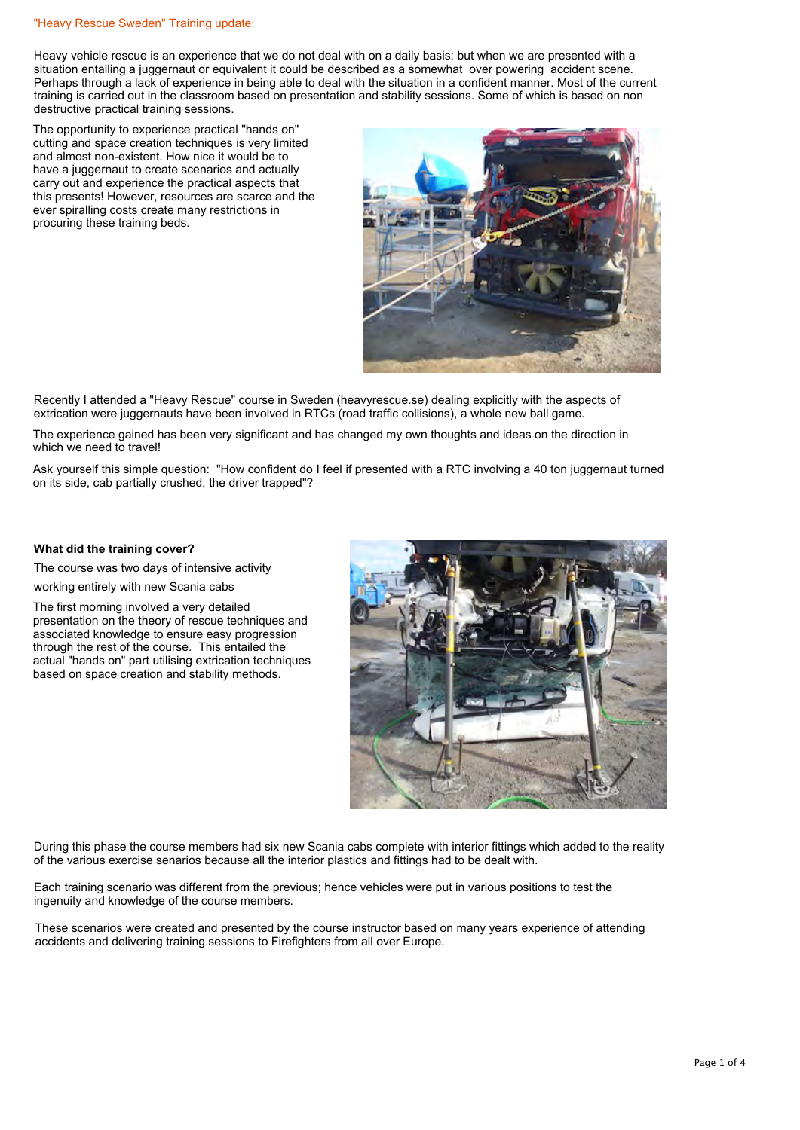Heavy vehicle rescue is an experience that we do not deal with on a daily basis; but when we are presented with a situation entailing a juggernaut or equivalent it could be described as a somewhat over powering accident scene. Perhaps through a lack of experience in being able to deal with the situation in a confident manner. Most of the current training is carried out in the classroom based on presentation and stability sessions. Some of which is based on non destructive practical training sessions.

The opportunity to experience practical "hands on" cutting and space creation techniques is very limited and almost non-existent. How nice it would be to have a juggernaut to create scenarios and actually carry out and experience the practical aspects that this presents! However, resources are scarce and the ever spiralling costs create many restrictions in procuring these training beds.



Recently I attended a "Heavy Rescue" course in Sweden (heavyrescue.se) dealing explicitly with the aspects of extrication were juggernauts have been involved in RTCs (road traffic collisions), a whole new ball game.

The experience gained has been very significant and has changed my own thoughts and ideas on the direction in which we need to travel!

Ask yourself this simple question: "How confident do I feel if presented with a RTC involving a 40 ton juggernaut turned on its side, cab partially crushed, the driver trapped"?

## **What did the training cover?**

The course was two days of intensive activity

working entirely with new Scania cabs

The first morning involved a very detailed presentation on the theory of rescue techniques and associated knowledge to ensure easy progression through the rest of the course. This entailed the actual "hands on" part utilising extrication techniques based on space creation and stability methods.



During this phase the course members had six new Scania cabs complete with interior fittings which added to the reality of the various exercise senarios because all the interior plastics and fittings had to be dealt with.

Each training scenario was different from the previous; hence vehicles were put in various positions to test the ingenuity and knowledge of the course members.

These scenarios were created and presented by the course instructor based on many years experience of attending accidents and delivering training sessions to Firefighters from all over Europe.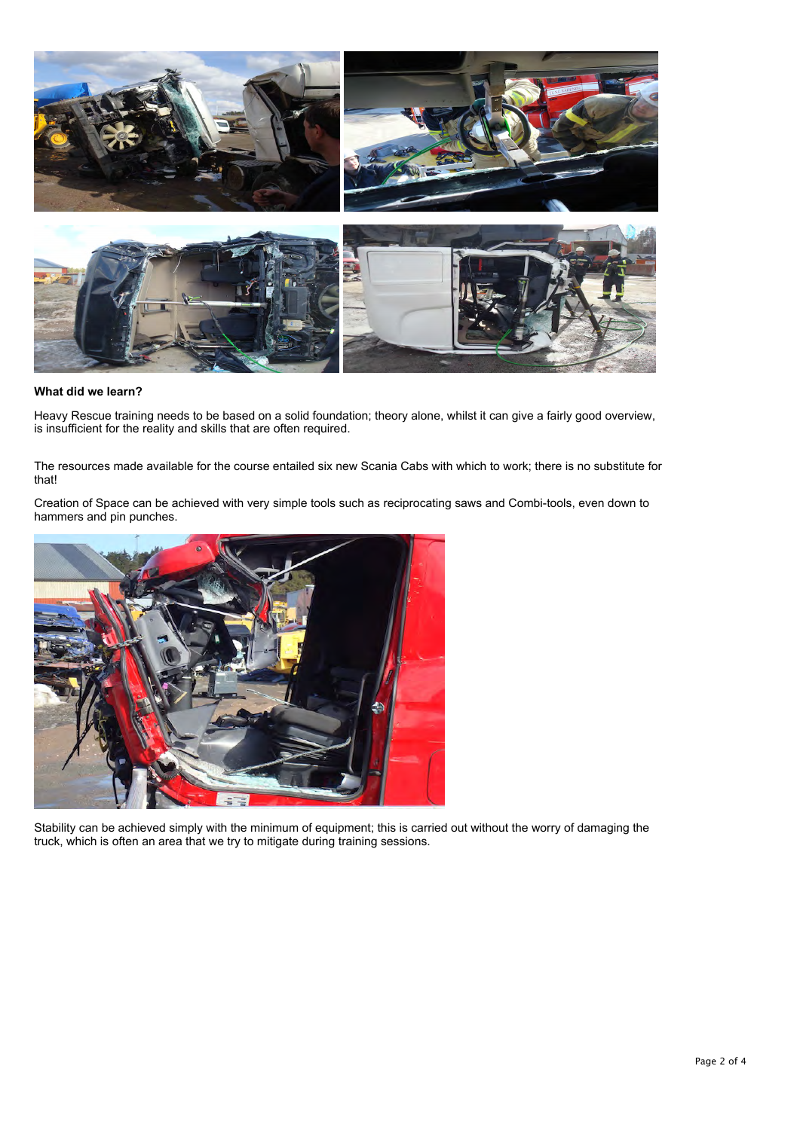

## **What did we learn?**

Heavy Rescue training needs to be based on a solid foundation; theory alone, whilst it can give a fairly good overview, is insufficient for the reality and skills that are often required.

The resources made available for the course entailed six new Scania Cabs with which to work; there is no substitute for that!

Creation of Space can be achieved with very simple tools such as reciprocating saws and Combi-tools, even down to hammers and pin punches.



Stability can be achieved simply with the minimum of equipment; this is carried out without the worry of damaging the truck, which is often an area that we try to mitigate during training sessions.